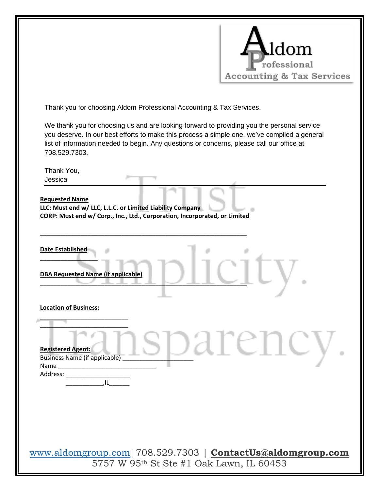

**DBA Requested Name (if applicable)**

\_\_\_\_\_\_\_\_\_\_\_\_\_\_\_\_\_\_\_\_\_\_\_\_\_\_ \_\_\_\_\_\_\_\_\_\_\_\_\_\_\_\_\_\_\_\_\_\_\_\_\_\_

\_\_\_\_\_\_\_\_\_\_\_\_\_\_\_\_\_\_\_\_\_\_\_\_\_\_\_\_\_\_\_\_\_\_\_\_\_\_\_\_\_\_\_\_\_\_\_\_\_\_\_\_\_\_\_\_\_\_\_\_\_

**Location of Business:** 

**Registered Agent:** 

\_\_\_\_\_\_\_\_\_\_\_,IL\_\_\_\_\_\_

Name Address: \_\_\_\_\_

708.529.7303.

Thank You, Jessica

**Requested Name** 

**Date Established** \_\_\_\_\_\_\_\_\_\_\_\_\_\_\_\_\_

[www.aldomgroup.com|](http://www.aldomgroup.com/)708.529.7303 | **[ContactUs@aldomgroup.com](mailto:ContactUs@aldomgroup.com)** 5757 W 95th St Ste #1 Oak Lawn, IL 60453

Registered Agent:  $\partial_{\Omega} \prod_{\text{BS} } \bigcap_{\text{B} } \partial_{\Omega} \prod_{\text{DE}} \bigcup_{\text{B} } \partial_{\Omega} \prod_{\text{CE}} \bigcup_{\text{C}} \bigcup_{\text{D}} \bigcup_{\text{D}} \bigcup_{\text{D}} \bigcup_{\text{D}} \bigcup_{\text{D}} \bigcup_{\text{D}} \bigcup_{\text{D}} \bigcup_{\text{D}} \bigcup_{\text{D}} \bigcup_{\text{D}} \bigcup_{\text{D}} \bigcup_{\text{D}} \bigcup_{\text{D}} \bigcup_{\text{D}} \bigcup_{$